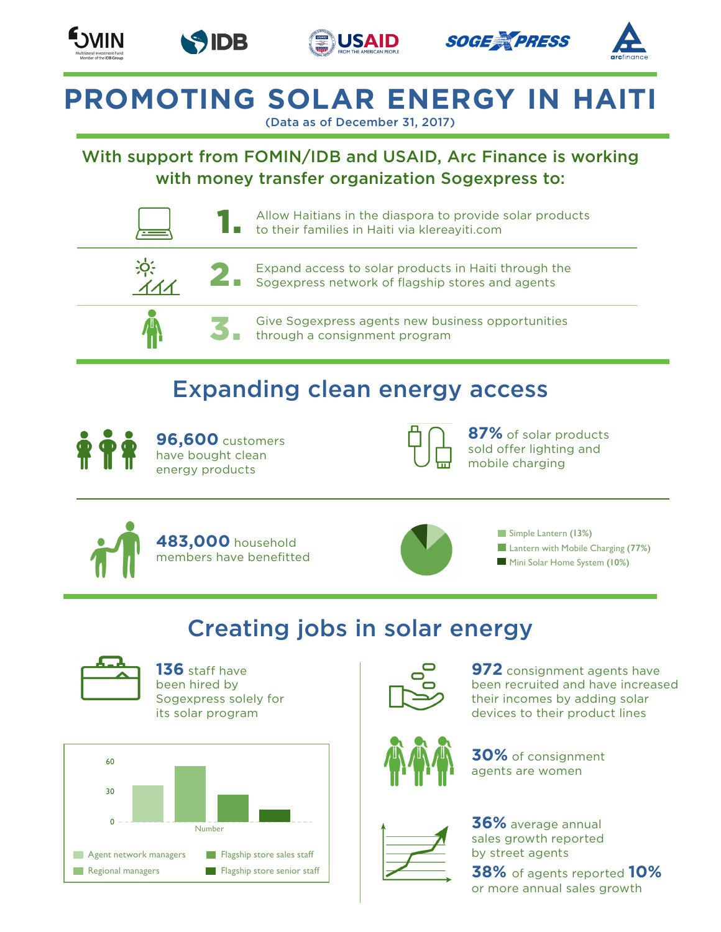









# **PROMOTING SOLAR ENERGY IN HAITI**

(Data as of December 31, 2017)

#### With support from FOMIN/IDB and USAID, Arc Finance is working with money transfer organization Sogexpress to:



### Expanding clean energy access



**96,600** customers have bought clean energy products



**87%** of solar products sold offer lighting and mobile charging





Simple Lantern **(13%) Lantern with Mobile Charging (77%) Mini Solar Home System (10%)** 

### Creating jobs in solar energy



**136** staff have been hired by Sogexpress solely for its solar program





**972** consignment agents have been recruited and have increased their incomes by adding solar devices to their product lines



**30%** of consignment agents are women



**36%** average annual sales growth reported by street agents **38%** of agents reported **10%** or more annual sales growth